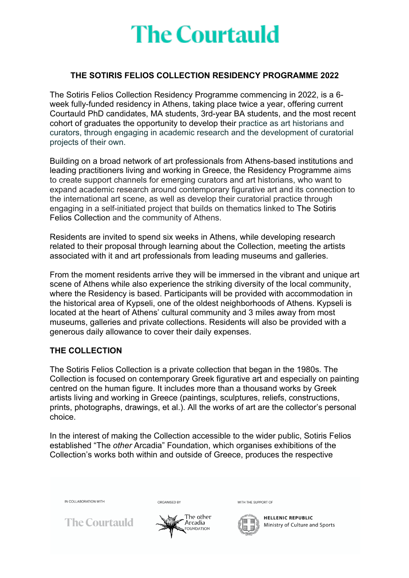#### **THE SOTIRIS FELIOS COLLECTION RESIDENCY PROGRAMME 2022**

The Sotiris Felios Collection Residency Programme commencing in 2022, is a 6 week fully-funded residency in Athens, taking place twice a year, offering current Courtauld PhD candidates, MA students, 3rd-year BA students, and the most recent cohort of graduates the opportunity to develop their practice as art historians and curators, through engaging in academic research and the development of curatorial projects of their own.

Building on a broad network of art professionals from Athens-based institutions and leading practitioners living and working in Greece, the Residency Programme aims to create support channels for emerging curators and art historians, who want to expand academic research around contemporary figurative art and its connection to the international art scene, as well as develop their curatorial practice through engaging in a self-initiated project that builds on thematics linked to The Sotiris Felios Collection and the community of Athens.

Residents are invited to spend six weeks in Athens, while developing research related to their proposal through learning about the Collection, meeting the artists associated with it and art professionals from leading museums and galleries.

From the moment residents arrive they will be immersed in the vibrant and unique art scene of Athens while also experience the striking diversity of the local community, where the Residency is based. Participants will be provided with accommodation in the historical area of Kypseli, one of the oldest neighborhoods of Athens. Kypseli is located at the heart of Athens' cultural community and 3 miles away from most museums, galleries and private collections. Residents will also be provided with a generous daily allowance to cover their daily expenses.

#### **THE COLLECTION**

The Sotiris Felios Collection is a private collection that began in the 1980s. The Collection is focused on contemporary Greek figurative art and especially on painting centred on the human figure. It includes more than a thousand works by Greek artists living and working in Greece (paintings, sculptures, reliefs, constructions, prints, photographs, drawings, et al.). All the works of art are the collector's personal choice.

In the interest of making the Collection accessible to the wider public, Sotiris Felios established "The *other* Arcadia" Foundation, which organises exhibitions of the Collection's works both within and outside of Greece, produces the respective



ORGANISED BY

**The Courtauld** 



WITH THE SUPPORT OF

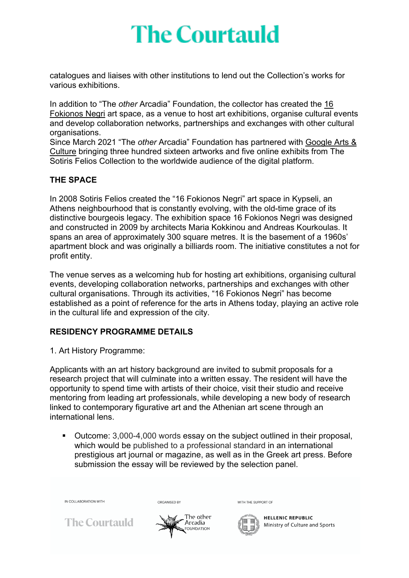catalogues and liaises with other institutions to lend out the Collection's works for various exhibitions.

In addition to "The *other* Arcadia" Foundation, the collector has created the 16 Fokionos Negri art space, as a venue to host art exhibitions, organise cultural events and develop collaboration networks, partnerships and exchanges with other cultural organisations.

Since March 2021 "The *other* Arcadia" Foundation has partnered with Google Arts & Culture bringing three hundred sixteen artworks and five online exhibits from The Sotiris Felios Collection to the worldwide audience of the digital platform.

#### **THE SPACE**

In 2008 Sotiris Felios created the "16 Fokionos Negri" art space in Kypseli, an Athens neighbourhood that is constantly evolving, with the old-time grace of its distinctive bourgeois legacy. The exhibition space 16 Fokionos Negri was designed and constructed in 2009 by architects Maria Kokkinou and Andreas Kourkoulas. It spans an area of approximately 300 square metres. It is the basement of a 1960s' apartment block and was originally a billiards room. The initiative constitutes a not for profit entity.

The venue serves as a welcoming hub for hosting art exhibitions, organising cultural events, developing collaboration networks, partnerships and exchanges with other cultural organisations. Through its activities, "16 Fokionos Negri" has become established as a point of reference for the arts in Athens today, playing an active role in the cultural life and expression of the city.

### **RESIDENCY PROGRAMME DETAILS**

1. Art History Programme:

Applicants with an art history background are invited to submit proposals for a research project that will culminate into a written essay. The resident will have the opportunity to spend time with artists of their choice, visit their studio and receive mentoring from leading art professionals, while developing a new body of research linked to contemporary figurative art and the Athenian art scene through an international lens.

■ Outcome: 3,000-4,000 words essay on the subject outlined in their proposal, which would be published to a professional standard in an international prestigious art journal or magazine, as well as in the Greek art press. Before submission the essay will be reviewed by the selection panel.

IN COLLABORATION WITH

**The Courtauld** 



ORGANISED BY

WITH THE SUPPORT OF

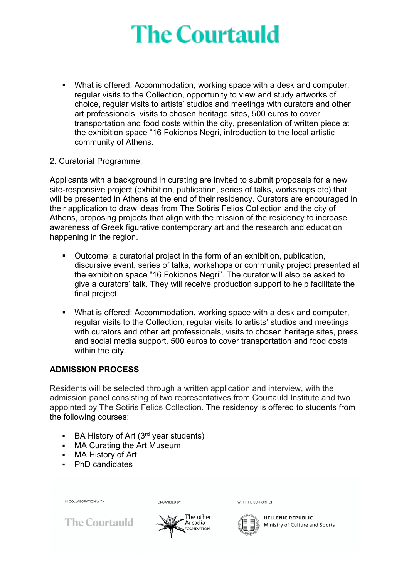■ What is offered: Accommodation, working space with a desk and computer, regular visits to the Collection, opportunity to view and study artworks of choice, regular visits to artists' studios and meetings with curators and other art professionals, visits to chosen heritage sites, 500 euros to cover transportation and food costs within the city, presentation of written piece at the exhibition space "16 Fokionos Negri, introduction to the local artistic community of Athens.

#### 2. Curatorial Programme:

Applicants with a background in curating are invited to submit proposals for a new site-responsive project (exhibition, publication, series of talks, workshops etc) that will be presented in Athens at the end of their residency. Curators are encouraged in their application to draw ideas from The Sotiris Felios Collection and the city of Athens, proposing projects that align with the mission of the residency to increase awareness of Greek figurative contemporary art and the research and education happening in the region.

- § Outcome: a curatorial project in the form of an exhibition, publication, discursive event, series of talks, workshops or community project presented at the exhibition space "16 Fokionos Negri". The curator will also be asked to give a curators' talk. They will receive production support to help facilitate the final project.
- What is offered: Accommodation, working space with a desk and computer, regular visits to the Collection, regular visits to artists' studios and meetings with curators and other art professionals, visits to chosen heritage sites, press and social media support, 500 euros to cover transportation and food costs within the city.

#### **ADMISSION PROCESS**

Residents will be selected through a written application and interview, with the admission panel consisting of two representatives from Courtauld Institute and two appointed by The Sotiris Felios Collection. The residency is offered to students from the following courses:

The other

Arcadia

FOUNDATION

- $\blacksquare$  BA History of Art (3<sup>rd</sup> year students)
- § MA Curating the Art Museum
- § MA History of Art
- § PhD candidates

IN COLLABORATION WITH

ORGANISED BY

WITH THE SUPPORT OF



**HELLENIC REPUBLIC** Ministry of Culture and Sports

**The Courtauld**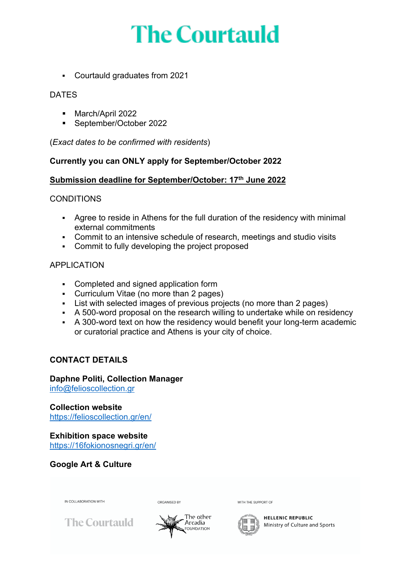§ Courtauld graduates from 2021

#### DATES

- § March/April 2022
- § September/October 2022

(*Exact dates to be confirmed with residents*)

#### **Currently you can ONLY apply for September/October 2022**

#### **Submission deadline for September/October: 17th June 2022**

#### **CONDITIONS**

- § Agree to reside in Athens for the full duration of the residency with minimal external commitments
- Commit to an intensive schedule of research, meetings and studio visits
- Commit to fully developing the project proposed

### APPLICATION

- Completed and signed application form
- Curriculum Vitae (no more than 2 pages)
- List with selected images of previous projects (no more than 2 pages)
- § A 500-word proposal on the research willing to undertake while on residency
- A 300-word text on how the residency would benefit your long-term academic or curatorial practice and Athens is your city of choice.

### **CONTACT DETAILS**

#### **Daphne Politi, Collection Manager** info@felioscollection.gr

**Collection website** https://felioscollection.gr/en/

**Exhibition space website** https://16fokionosnegri.gr/en/

**Google Art & Culture**



ORGANISED BY





WITH THE SUPPORT OF